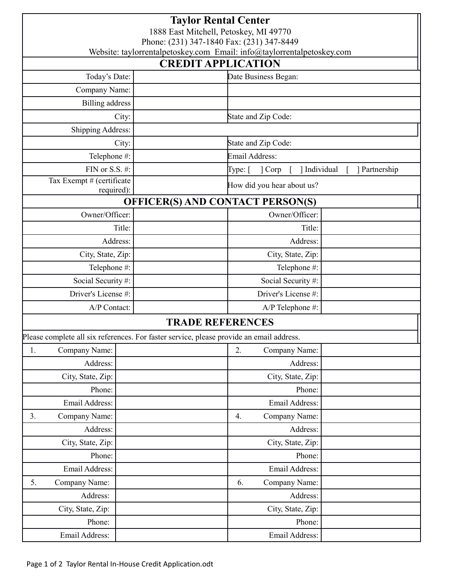| <b>Taylor Rental Center</b><br>1888 East Mitchell, Petoskey, MI 49770<br>Phone: (231) 347-1840 Fax: (231) 347-8449 |  |                                   |               |  |  |
|--------------------------------------------------------------------------------------------------------------------|--|-----------------------------------|---------------|--|--|
| Website: taylorrentalpetoskey.com Email: info@taylorrentalpetoskey.com<br><b>CREDIT APPLICATION</b>                |  |                                   |               |  |  |
| Today's Date:<br>Date Business Began:                                                                              |  |                                   |               |  |  |
| Company Name:                                                                                                      |  |                                   |               |  |  |
| <b>Billing address</b>                                                                                             |  |                                   |               |  |  |
| City:                                                                                                              |  | State and Zip Code:               |               |  |  |
| <b>Shipping Address:</b>                                                                                           |  |                                   |               |  |  |
| City:                                                                                                              |  | State and Zip Code:               |               |  |  |
| Telephone #:                                                                                                       |  | Email Address:                    |               |  |  |
| FIN or S.S. #:                                                                                                     |  | ] Individual<br>Type: [<br>] Corp | ] Partnership |  |  |
| Tax Exempt # (certificate<br>required):                                                                            |  | How did you hear about us?        |               |  |  |
| <b>OFFICER(S) AND CONTACT PERSON(S)</b>                                                                            |  |                                   |               |  |  |
| Owner/Officer:                                                                                                     |  | Owner/Officer:                    |               |  |  |
| Title:                                                                                                             |  | Title:                            |               |  |  |
| Address:                                                                                                           |  | Address:                          |               |  |  |
| City, State, Zip:                                                                                                  |  | City, State, Zip:                 |               |  |  |
| Telephone #:                                                                                                       |  | Telephone #:                      |               |  |  |
| Social Security#:                                                                                                  |  | Social Security#:                 |               |  |  |
| Driver's License #:                                                                                                |  | Driver's License #:               |               |  |  |
| A/P Contact:                                                                                                       |  | A/P Telephone #:                  |               |  |  |
| <b>TRADE REFERENCES</b>                                                                                            |  |                                   |               |  |  |
| Please complete all six references. For faster service, please provide an email address.                           |  |                                   |               |  |  |
| Company Name:<br>1.                                                                                                |  | 2.<br>Company Name:               |               |  |  |
| Address:                                                                                                           |  | Address:                          |               |  |  |
| City, State, Zip:                                                                                                  |  | City, State, Zip:                 |               |  |  |
| Phone:                                                                                                             |  | Phone:                            |               |  |  |
| Email Address:                                                                                                     |  | Email Address:                    |               |  |  |
| Company Name:<br>3.                                                                                                |  | Company Name:<br>4.               |               |  |  |
| Address:                                                                                                           |  | Address:                          |               |  |  |
| City, State, Zip:                                                                                                  |  | City, State, Zip:                 |               |  |  |
| Phone:                                                                                                             |  | Phone:                            |               |  |  |
| Email Address:                                                                                                     |  | Email Address:                    |               |  |  |
| Company Name:<br>5.                                                                                                |  | 6.<br>Company Name:               |               |  |  |
| Address:                                                                                                           |  | Address:                          |               |  |  |
| City, State, Zip:                                                                                                  |  | City, State, Zip:                 |               |  |  |
| Phone:                                                                                                             |  | Phone:                            |               |  |  |
| Email Address:                                                                                                     |  | Email Address:                    |               |  |  |